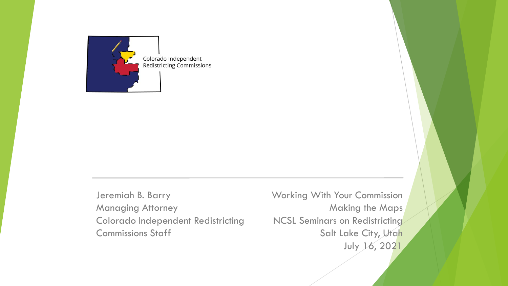

Jeremiah B. Barry Managing Attorney Colorado Independent Redistricting Commissions Staff

Working With Your Commission Making the Maps NCSL Seminars on Redistricting Salt Lake City, Utah July 16, 2021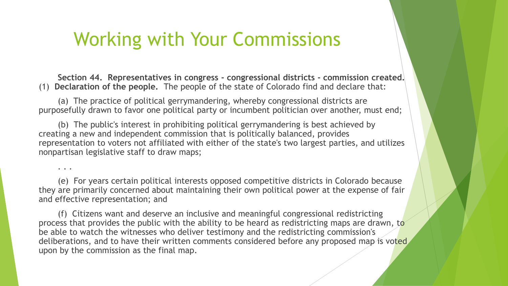**Section 44. Representatives in congress - congressional districts - commission created.** (1) **Declaration of the people.** The people of the state of Colorado find and declare that:

(a) The practice of political gerrymandering, whereby congressional districts are purposefully drawn to favor one political party or incumbent politician over another, must end;

(b) The public's interest in prohibiting political gerrymandering is best achieved by creating a new and independent commission that is politically balanced, provides representation to voters not affiliated with either of the state's two largest parties, and utilizes nonpartisan legislative staff to draw maps;

. . .

(e) For years certain political interests opposed competitive districts in Colorado because they are primarily concerned about maintaining their own political power at the expense of fair and effective representation; and

(f) Citizens want and deserve an inclusive and meaningful congressional redistricting process that provides the public with the ability to be heard as redistricting maps are drawn, to be able to watch the witnesses who deliver testimony and the redistricting commission's deliberations, and to have their written comments considered before any proposed map is voted upon by the commission as the final map.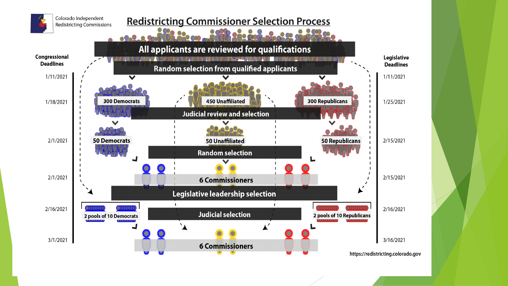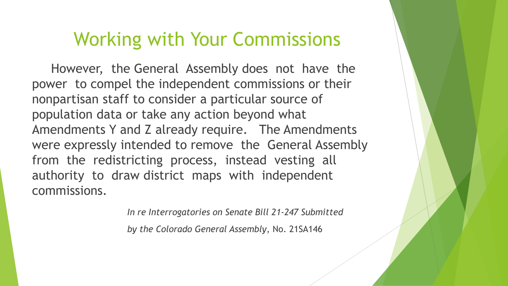However, the General Assembly does not have the power to compel the independent commissions or their nonpartisan staff to consider a particular source of population data or take any action beyond what Amendments Y and Z already require. The Amendments were expressly intended to remove the General Assembly from the redistricting process, instead vesting all authority to draw district maps with independent commissions.

*In re Interrogatories on Senate Bill 21-247 Submitted* 

*by the Colorado General Assembly*, No. 21SA146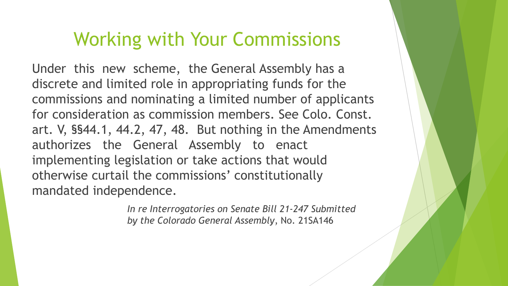Under this new scheme, the General Assembly has a discrete and limited role in appropriating funds for the commissions and nominating a limited number of applicants for consideration as commission members. See Colo. Const. art. V, §§44.1, 44.2, 47, 48. But nothing in the Amendments authorizes the General Assembly to enact implementing legislation or take actions that would otherwise curtail the commissions' constitutionally mandated independence.

> *In re Interrogatories on Senate Bill 21-247 Submitted by the Colorado General Assembly*, No. 21SA146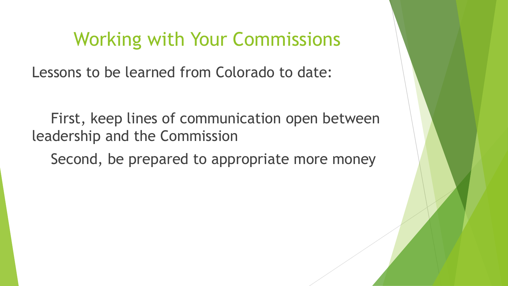Lessons to be learned from Colorado to date:

First, keep lines of communication open between leadership and the Commission

Second, be prepared to appropriate more money